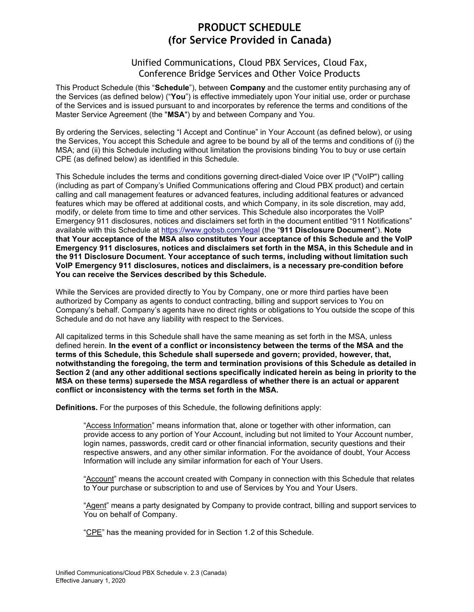# PRODUCT SCHEDULE (for Service Provided in Canada)

# Unified Communications, Cloud PBX Services, Cloud Fax, Conference Bridge Services and Other Voice Products

This Product Schedule (this "**Schedule**"), between **Company** and the customer entity purchasing any of the Services (as defined below) ("You") is effective immediately upon Your initial use, order or purchase of the Services and is issued pursuant to and incorporates by reference the terms and conditions of the Master Service Agreement (the "MSA") by and between Company and You.

By ordering the Services, selecting "I Accept and Continue" in Your Account (as defined below), or using the Services, You accept this Schedule and agree to be bound by all of the terms and conditions of (i) the MSA; and (ii) this Schedule including without limitation the provisions binding You to buy or use certain CPE (as defined below) as identified in this Schedule.

This Schedule includes the terms and conditions governing direct-dialed Voice over IP ("VoIP") calling (including as part of Company's Unified Communications offering and Cloud PBX product) and certain calling and call management features or advanced features, including additional features or advanced features which may be offered at additional costs, and which Company, in its sole discretion, may add, modify, or delete from time to time and other services. This Schedule also incorporates the VoIP Emergency 911 disclosures, notices and disclaimers set forth in the document entitled "911 Notifications" available with this Schedule at https://www.gobsb.com/legal (the "911 Disclosure Document"). Note that Your acceptance of the MSA also constitutes Your acceptance of this Schedule and the VoIP Emergency 911 disclosures, notices and disclaimers set forth in the MSA, in this Schedule and in the 911 Disclosure Document. Your acceptance of such terms, including without limitation such VoIP Emergency 911 disclosures, notices and disclaimers, is a necessary pre-condition before You can receive the Services described by this Schedule.

While the Services are provided directly to You by Company, one or more third parties have been authorized by Company as agents to conduct contracting, billing and support services to You on Company's behalf. Company's agents have no direct rights or obligations to You outside the scope of this Schedule and do not have any liability with respect to the Services.

All capitalized terms in this Schedule shall have the same meaning as set forth in the MSA, unless defined herein. In the event of a conflict or inconsistency between the terms of the MSA and the terms of this Schedule, this Schedule shall supersede and govern; provided, however, that, notwithstanding the foregoing, the term and termination provisions of this Schedule as detailed in Section 2 (and any other additional sections specifically indicated herein as being in priority to the MSA on these terms) supersede the MSA regardless of whether there is an actual or apparent conflict or inconsistency with the terms set forth in the MSA.

Definitions. For the purposes of this Schedule, the following definitions apply:

"Access Information" means information that, alone or together with other information, can provide access to any portion of Your Account, including but not limited to Your Account number, login names, passwords, credit card or other financial information, security questions and their respective answers, and any other similar information. For the avoidance of doubt, Your Access Information will include any similar information for each of Your Users.

"Account" means the account created with Company in connection with this Schedule that relates to Your purchase or subscription to and use of Services by You and Your Users.

"Agent" means a party designated by Company to provide contract, billing and support services to You on behalf of Company.

"CPE" has the meaning provided for in Section 1.2 of this Schedule.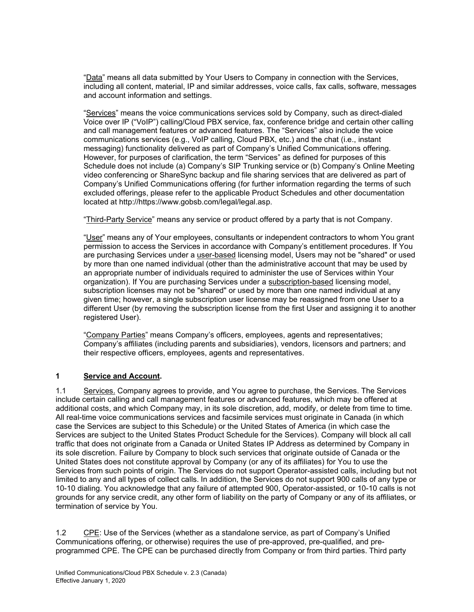"Data" means all data submitted by Your Users to Company in connection with the Services, including all content, material, IP and similar addresses, voice calls, fax calls, software, messages and account information and settings.

"Services" means the voice communications services sold by Company, such as direct-dialed Voice over IP ("VoIP") calling/Cloud PBX service, fax, conference bridge and certain other calling and call management features or advanced features. The "Services" also include the voice communications services (e.g., VoIP calling, Cloud PBX, etc.) and the chat (i.e., instant messaging) functionality delivered as part of Company's Unified Communications offering. However, for purposes of clarification, the term "Services" as defined for purposes of this Schedule does not include (a) Company's SIP Trunking service or (b) Company's Online Meeting video conferencing or ShareSync backup and file sharing services that are delivered as part of Company's Unified Communications offering (for further information regarding the terms of such excluded offerings, please refer to the applicable Product Schedules and other documentation located at http://https://www.gobsb.com/legal/legal.asp.

"Third-Party Service" means any service or product offered by a party that is not Company.

"User" means any of Your employees, consultants or independent contractors to whom You grant permission to access the Services in accordance with Company's entitlement procedures. If You are purchasing Services under a user-based licensing model, Users may not be "shared" or used by more than one named individual (other than the administrative account that may be used by an appropriate number of individuals required to administer the use of Services within Your organization). If You are purchasing Services under a subscription-based licensing model, subscription licenses may not be "shared" or used by more than one named individual at any given time; however, a single subscription user license may be reassigned from one User to a different User (by removing the subscription license from the first User and assigning it to another registered User).

"Company Parties" means Company's officers, employees, agents and representatives; Company's affiliates (including parents and subsidiaries), vendors, licensors and partners; and their respective officers, employees, agents and representatives.

# 1 Service and Account.

1.1 Services. Company agrees to provide, and You agree to purchase, the Services. The Services include certain calling and call management features or advanced features, which may be offered at additional costs, and which Company may, in its sole discretion, add, modify, or delete from time to time. All real-time voice communications services and facsimile services must originate in Canada (in which case the Services are subject to this Schedule) or the United States of America (in which case the Services are subject to the United States Product Schedule for the Services). Company will block all call traffic that does not originate from a Canada or United States IP Address as determined by Company in its sole discretion. Failure by Company to block such services that originate outside of Canada or the United States does not constitute approval by Company (or any of its affiliates) for You to use the Services from such points of origin. The Services do not support Operator-assisted calls, including but not limited to any and all types of collect calls. In addition, the Services do not support 900 calls of any type or 10-10 dialing. You acknowledge that any failure of attempted 900, Operator-assisted, or 10-10 calls is not grounds for any service credit, any other form of liability on the party of Company or any of its affiliates, or termination of service by You.

1.2 CPE: Use of the Services (whether as a standalone service, as part of Company's Unified Communications offering, or otherwise) requires the use of pre-approved, pre-qualified, and preprogrammed CPE. The CPE can be purchased directly from Company or from third parties. Third party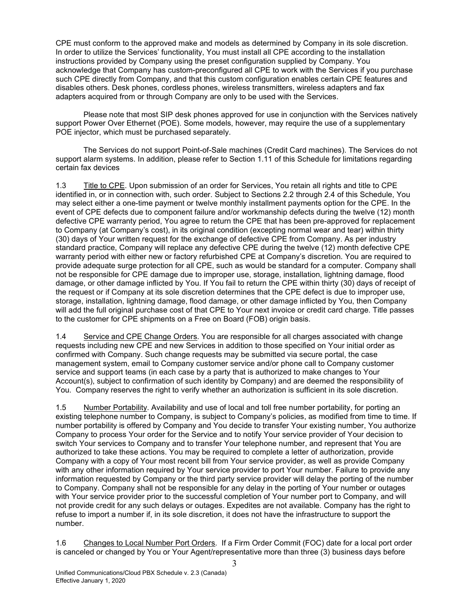CPE must conform to the approved make and models as determined by Company in its sole discretion. In order to utilize the Services' functionality, You must install all CPE according to the installation instructions provided by Company using the preset configuration supplied by Company. You acknowledge that Company has custom-preconfigured all CPE to work with the Services if you purchase such CPE directly from Company, and that this custom configuration enables certain CPE features and disables others. Desk phones, cordless phones, wireless transmitters, wireless adapters and fax adapters acquired from or through Company are only to be used with the Services.

Please note that most SIP desk phones approved for use in conjunction with the Services natively support Power Over Ethernet (POE). Some models, however, may require the use of a supplementary POE injector, which must be purchased separately.

The Services do not support Point-of-Sale machines (Credit Card machines). The Services do not support alarm systems. In addition, please refer to Section 1.11 of this Schedule for limitations regarding certain fax devices

1.3 Title to CPE. Upon submission of an order for Services, You retain all rights and title to CPE identified in, or in connection with, such order. Subject to Sections 2.2 through 2.4 of this Schedule, You may select either a one-time payment or twelve monthly installment payments option for the CPE. In the event of CPE defects due to component failure and/or workmanship defects during the twelve (12) month defective CPE warranty period, You agree to return the CPE that has been pre-approved for replacement to Company (at Company's cost), in its original condition (excepting normal wear and tear) within thirty (30) days of Your written request for the exchange of defective CPE from Company. As per industry standard practice, Company will replace any defective CPE during the twelve (12) month defective CPE warranty period with either new or factory refurbished CPE at Company's discretion. You are required to provide adequate surge protection for all CPE, such as would be standard for a computer. Company shall not be responsible for CPE damage due to improper use, storage, installation, lightning damage, flood damage, or other damage inflicted by You. If You fail to return the CPE within thirty (30) days of receipt of the request or if Company at its sole discretion determines that the CPE defect is due to improper use, storage, installation, lightning damage, flood damage, or other damage inflicted by You, then Company will add the full original purchase cost of that CPE to Your next invoice or credit card charge. Title passes to the customer for CPE shipments on a Free on Board (FOB) origin basis.

1.4 Service and CPE Change Orders. You are responsible for all charges associated with change requests including new CPE and new Services in addition to those specified on Your initial order as confirmed with Company. Such change requests may be submitted via secure portal, the case management system, email to Company customer service and/or phone call to Company customer service and support teams (in each case by a party that is authorized to make changes to Your Account(s), subject to confirmation of such identity by Company) and are deemed the responsibility of You. Company reserves the right to verify whether an authorization is sufficient in its sole discretion.

1.5 Number Portability. Availability and use of local and toll free number portability, for porting an existing telephone number to Company, is subject to Company's policies, as modified from time to time. If number portability is offered by Company and You decide to transfer Your existing number, You authorize Company to process Your order for the Service and to notify Your service provider of Your decision to switch Your services to Company and to transfer Your telephone number, and represent that You are authorized to take these actions. You may be required to complete a letter of authorization, provide Company with a copy of Your most recent bill from Your service provider, as well as provide Company with any other information required by Your service provider to port Your number. Failure to provide any information requested by Company or the third party service provider will delay the porting of the number to Company. Company shall not be responsible for any delay in the porting of Your number or outages with Your service provider prior to the successful completion of Your number port to Company, and will not provide credit for any such delays or outages. Expedites are not available. Company has the right to refuse to import a number if, in its sole discretion, it does not have the infrastructure to support the number.

1.6 Changes to Local Number Port Orders. If a Firm Order Commit (FOC) date for a local port order is canceled or changed by You or Your Agent/representative more than three (3) business days before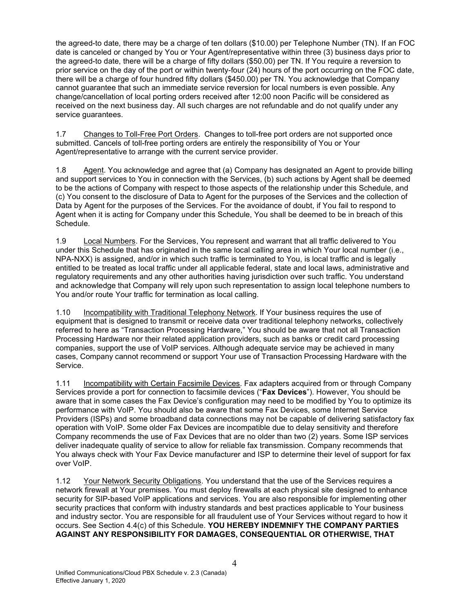the agreed-to date, there may be a charge of ten dollars (\$10.00) per Telephone Number (TN). If an FOC date is canceled or changed by You or Your Agent/representative within three (3) business days prior to the agreed-to date, there will be a charge of fifty dollars (\$50.00) per TN. If You require a reversion to prior service on the day of the port or within twenty-four (24) hours of the port occurring on the FOC date, there will be a charge of four hundred fifty dollars (\$450.00) per TN. You acknowledge that Company cannot guarantee that such an immediate service reversion for local numbers is even possible. Any change/cancellation of local porting orders received after 12:00 noon Pacific will be considered as received on the next business day. All such charges are not refundable and do not qualify under any service guarantees.

1.7 Changes to Toll-Free Port Orders. Changes to toll-free port orders are not supported once submitted. Cancels of toll-free porting orders are entirely the responsibility of You or Your Agent/representative to arrange with the current service provider.

1.8 Agent. You acknowledge and agree that (a) Company has designated an Agent to provide billing and support services to You in connection with the Services, (b) such actions by Agent shall be deemed to be the actions of Company with respect to those aspects of the relationship under this Schedule, and (c) You consent to the disclosure of Data to Agent for the purposes of the Services and the collection of Data by Agent for the purposes of the Services. For the avoidance of doubt, if You fail to respond to Agent when it is acting for Company under this Schedule, You shall be deemed to be in breach of this Schedule.

1.9 Local Numbers. For the Services, You represent and warrant that all traffic delivered to You under this Schedule that has originated in the same local calling area in which Your local number (i.e., NPA-NXX) is assigned, and/or in which such traffic is terminated to You, is local traffic and is legally entitled to be treated as local traffic under all applicable federal, state and local laws, administrative and regulatory requirements and any other authorities having jurisdiction over such traffic. You understand and acknowledge that Company will rely upon such representation to assign local telephone numbers to You and/or route Your traffic for termination as local calling.

1.10 Incompatibility with Traditional Telephony Network. If Your business requires the use of equipment that is designed to transmit or receive data over traditional telephony networks, collectively referred to here as "Transaction Processing Hardware," You should be aware that not all Transaction Processing Hardware nor their related application providers, such as banks or credit card processing companies, support the use of VoIP services. Although adequate service may be achieved in many cases, Company cannot recommend or support Your use of Transaction Processing Hardware with the Service.

1.11 Incompatibility with Certain Facsimile Devices. Fax adapters acquired from or through Company Services provide a port for connection to facsimile devices ("Fax Devices"). However, You should be aware that in some cases the Fax Device's configuration may need to be modified by You to optimize its performance with VoIP. You should also be aware that some Fax Devices, some Internet Service Providers (ISPs) and some broadband data connections may not be capable of delivering satisfactory fax operation with VoIP. Some older Fax Devices are incompatible due to delay sensitivity and therefore Company recommends the use of Fax Devices that are no older than two (2) years. Some ISP services deliver inadequate quality of service to allow for reliable fax transmission. Company recommends that You always check with Your Fax Device manufacturer and ISP to determine their level of support for fax over VoIP.

1.12 Your Network Security Obligations. You understand that the use of the Services requires a network firewall at Your premises. You must deploy firewalls at each physical site designed to enhance security for SIP-based VoIP applications and services. You are also responsible for implementing other security practices that conform with industry standards and best practices applicable to Your business and industry sector. You are responsible for all fraudulent use of Your Services without regard to how it occurs. See Section 4.4(c) of this Schedule. YOU HEREBY INDEMNIFY THE COMPANY PARTIES AGAINST ANY RESPONSIBILITY FOR DAMAGES, CONSEQUENTIAL OR OTHERWISE, THAT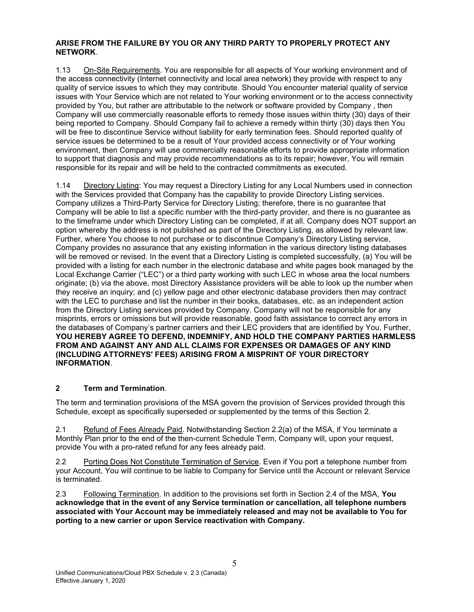#### ARISE FROM THE FAILURE BY YOU OR ANY THIRD PARTY TO PROPERLY PROTECT ANY NETWORK.

1.13 On-Site Requirements. You are responsible for all aspects of Your working environment and of the access connectivity (Internet connectivity and local area network) they provide with respect to any quality of service issues to which they may contribute. Should You encounter material quality of service issues with Your Service which are not related to Your working environment or to the access connectivity provided by You, but rather are attributable to the network or software provided by Company , then Company will use commercially reasonable efforts to remedy those issues within thirty (30) days of their being reported to Company. Should Company fail to achieve a remedy within thirty (30) days then You will be free to discontinue Service without liability for early termination fees. Should reported quality of service issues be determined to be a result of Your provided access connectivity or of Your working environment, then Company will use commercially reasonable efforts to provide appropriate information to support that diagnosis and may provide recommendations as to its repair; however, You will remain responsible for its repair and will be held to the contracted commitments as executed.

1.14 Directory Listing: You may request a Directory Listing for any Local Numbers used in connection with the Services provided that Company has the capability to provide Directory Listing services. Company utilizes a Third-Party Service for Directory Listing; therefore, there is no guarantee that Company will be able to list a specific number with the third-party provider, and there is no guarantee as to the timeframe under which Directory Listing can be completed, if at all. Company does NOT support an option whereby the address is not published as part of the Directory Listing, as allowed by relevant law. Further, where You choose to not purchase or to discontinue Company's Directory Listing service, Company provides no assurance that any existing information in the various directory listing databases will be removed or revised. In the event that a Directory Listing is completed successfully, (a) You will be provided with a listing for each number in the electronic database and white pages book managed by the Local Exchange Carrier ("LEC") or a third party working with such LEC in whose area the local numbers originate; (b) via the above, most Directory Assistance providers will be able to look up the number when they receive an inquiry; and (c) yellow page and other electronic database providers then may contract with the LEC to purchase and list the number in their books, databases, etc. as an independent action from the Directory Listing services provided by Company. Company will not be responsible for any misprints, errors or omissions but will provide reasonable, good faith assistance to correct any errors in the databases of Company's partner carriers and their LEC providers that are identified by You. Further, YOU HEREBY AGREE TO DEFEND, INDEMNIFY, AND HOLD THE COMPANY PARTIES HARMLESS FROM AND AGAINST ANY AND ALL CLAIMS FOR EXPENSES OR DAMAGES OF ANY KIND (INCLUDING ATTORNEYS' FEES) ARISING FROM A MISPRINT OF YOUR DIRECTORY INFORMATION.

#### 2 Term and Termination.

The term and termination provisions of the MSA govern the provision of Services provided through this Schedule, except as specifically superseded or supplemented by the terms of this Section 2.

2.1 Refund of Fees Already Paid. Notwithstanding Section 2.2(a) of the MSA, if You terminate a Monthly Plan prior to the end of the then-current Schedule Term, Company will, upon your request, provide You with a pro-rated refund for any fees already paid.

2.2 Porting Does Not Constitute Termination of Service. Even if You port a telephone number from your Account, You will continue to be liable to Company for Service until the Account or relevant Service is terminated.

2.3 Following Termination. In addition to the provisions set forth in Section 2.4 of the MSA, You acknowledge that in the event of any Service termination or cancellation, all telephone numbers associated with Your Account may be immediately released and may not be available to You for porting to a new carrier or upon Service reactivation with Company.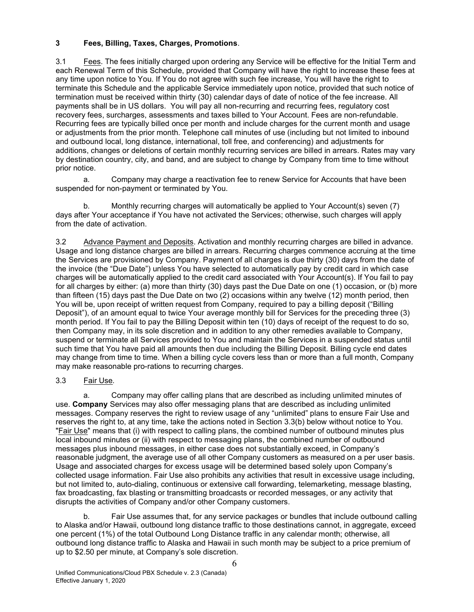# 3 Fees, Billing, Taxes, Charges, Promotions.

3.1 Fees. The fees initially charged upon ordering any Service will be effective for the Initial Term and each Renewal Term of this Schedule, provided that Company will have the right to increase these fees at any time upon notice to You. If You do not agree with such fee increase, You will have the right to terminate this Schedule and the applicable Service immediately upon notice, provided that such notice of termination must be received within thirty (30) calendar days of date of notice of the fee increase. All payments shall be in US dollars. You will pay all non-recurring and recurring fees, regulatory cost recovery fees, surcharges, assessments and taxes billed to Your Account. Fees are non-refundable. Recurring fees are typically billed once per month and include charges for the current month and usage or adjustments from the prior month. Telephone call minutes of use (including but not limited to inbound and outbound local, long distance, international, toll free, and conferencing) and adjustments for additions, changes or deletions of certain monthly recurring services are billed in arrears. Rates may vary by destination country, city, and band, and are subject to change by Company from time to time without prior notice.

a. Company may charge a reactivation fee to renew Service for Accounts that have been suspended for non-payment or terminated by You.

b. Monthly recurring charges will automatically be applied to Your Account(s) seven (7) days after Your acceptance if You have not activated the Services; otherwise, such charges will apply from the date of activation.

3.2 Advance Payment and Deposits. Activation and monthly recurring charges are billed in advance. Usage and long distance charges are billed in arrears. Recurring charges commence accruing at the time the Services are provisioned by Company. Payment of all charges is due thirty (30) days from the date of the invoice (the "Due Date") unless You have selected to automatically pay by credit card in which case charges will be automatically applied to the credit card associated with Your Account(s). If You fail to pay for all charges by either: (a) more than thirty (30) days past the Due Date on one (1) occasion, or (b) more than fifteen (15) days past the Due Date on two (2) occasions within any twelve (12) month period, then You will be, upon receipt of written request from Company, required to pay a billing deposit ("Billing Deposit"), of an amount equal to twice Your average monthly bill for Services for the preceding three (3) month period. If You fail to pay the Billing Deposit within ten (10) days of receipt of the request to do so, then Company may, in its sole discretion and in addition to any other remedies available to Company, suspend or terminate all Services provided to You and maintain the Services in a suspended status until such time that You have paid all amounts then due including the Billing Deposit. Billing cycle end dates may change from time to time. When a billing cycle covers less than or more than a full month, Company may make reasonable pro-rations to recurring charges.

#### 3.3 Fair Use.

a. Company may offer calling plans that are described as including unlimited minutes of use. Company Services may also offer messaging plans that are described as including unlimited messages. Company reserves the right to review usage of any "unlimited" plans to ensure Fair Use and reserves the right to, at any time, take the actions noted in Section 3.3(b) below without notice to You. "Fair Use" means that (i) with respect to calling plans, the combined number of outbound minutes plus local inbound minutes or (ii) with respect to messaging plans, the combined number of outbound messages plus inbound messages, in either case does not substantially exceed, in Company's reasonable judgment, the average use of all other Company customers as measured on a per user basis. Usage and associated charges for excess usage will be determined based solely upon Company's collected usage information. Fair Use also prohibits any activities that result in excessive usage including, but not limited to, auto-dialing, continuous or extensive call forwarding, telemarketing, message blasting, fax broadcasting, fax blasting or transmitting broadcasts or recorded messages, or any activity that disrupts the activities of Company and/or other Company customers.

b. Fair Use assumes that, for any service packages or bundles that include outbound calling to Alaska and/or Hawaii, outbound long distance traffic to those destinations cannot, in aggregate, exceed one percent (1%) of the total Outbound Long Distance traffic in any calendar month; otherwise, all outbound long distance traffic to Alaska and Hawaii in such month may be subject to a price premium of up to \$2.50 per minute, at Company's sole discretion.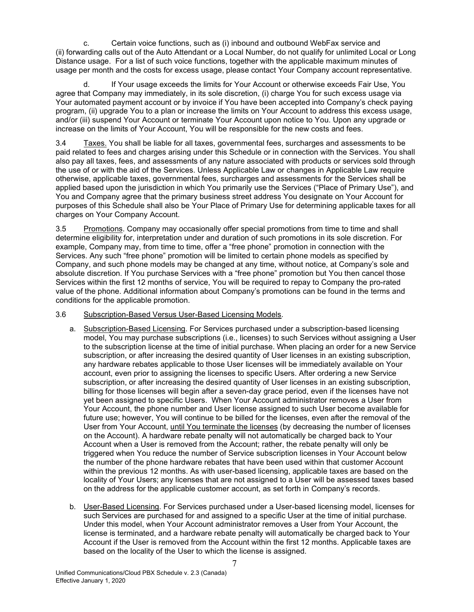c. Certain voice functions, such as (i) inbound and outbound WebFax service and (ii) forwarding calls out of the Auto Attendant or a Local Number, do not qualify for unlimited Local or Long Distance usage. For a list of such voice functions, together with the applicable maximum minutes of usage per month and the costs for excess usage, please contact Your Company account representative.

d. If Your usage exceeds the limits for Your Account or otherwise exceeds Fair Use, You agree that Company may immediately, in its sole discretion, (i) charge You for such excess usage via Your automated payment account or by invoice if You have been accepted into Company's check paying program, (ii) upgrade You to a plan or increase the limits on Your Account to address this excess usage, and/or (iii) suspend Your Account or terminate Your Account upon notice to You. Upon any upgrade or increase on the limits of Your Account, You will be responsible for the new costs and fees.

3.4 Taxes. You shall be liable for all taxes, governmental fees, surcharges and assessments to be paid related to fees and charges arising under this Schedule or in connection with the Services. You shall also pay all taxes, fees, and assessments of any nature associated with products or services sold through the use of or with the aid of the Services. Unless Applicable Law or changes in Applicable Law require otherwise, applicable taxes, governmental fees, surcharges and assessments for the Services shall be applied based upon the jurisdiction in which You primarily use the Services ("Place of Primary Use"), and You and Company agree that the primary business street address You designate on Your Account for purposes of this Schedule shall also be Your Place of Primary Use for determining applicable taxes for all charges on Your Company Account.

3.5 Promotions. Company may occasionally offer special promotions from time to time and shall determine eligibility for, interpretation under and duration of such promotions in its sole discretion. For example, Company may, from time to time, offer a "free phone" promotion in connection with the Services. Any such "free phone" promotion will be limited to certain phone models as specified by Company, and such phone models may be changed at any time, without notice, at Company's sole and absolute discretion. If You purchase Services with a "free phone" promotion but You then cancel those Services within the first 12 months of service, You will be required to repay to Company the pro-rated value of the phone. Additional information about Company's promotions can be found in the terms and conditions for the applicable promotion.

#### 3.6 Subscription-Based Versus User-Based Licensing Models.

- a. Subscription-Based Licensing. For Services purchased under a subscription-based licensing model, You may purchase subscriptions (i.e., licenses) to such Services without assigning a User to the subscription license at the time of initial purchase. When placing an order for a new Service subscription, or after increasing the desired quantity of User licenses in an existing subscription, any hardware rebates applicable to those User licenses will be immediately available on Your account, even prior to assigning the licenses to specific Users. After ordering a new Service subscription, or after increasing the desired quantity of User licenses in an existing subscription, billing for those licenses will begin after a seven-day grace period, even if the licenses have not yet been assigned to specific Users. When Your Account administrator removes a User from Your Account, the phone number and User license assigned to such User become available for future use; however, You will continue to be billed for the licenses, even after the removal of the User from Your Account, until You terminate the licenses (by decreasing the number of licenses on the Account). A hardware rebate penalty will not automatically be charged back to Your Account when a User is removed from the Account; rather, the rebate penalty will only be triggered when You reduce the number of Service subscription licenses in Your Account below the number of the phone hardware rebates that have been used within that customer Account within the previous 12 months. As with user-based licensing, applicable taxes are based on the locality of Your Users; any licenses that are not assigned to a User will be assessed taxes based on the address for the applicable customer account, as set forth in Company's records.
- b. User-Based Licensing. For Services purchased under a User-based licensing model, licenses for such Services are purchased for and assigned to a specific User at the time of initial purchase. Under this model, when Your Account administrator removes a User from Your Account, the license is terminated, and a hardware rebate penalty will automatically be charged back to Your Account if the User is removed from the Account within the first 12 months. Applicable taxes are based on the locality of the User to which the license is assigned.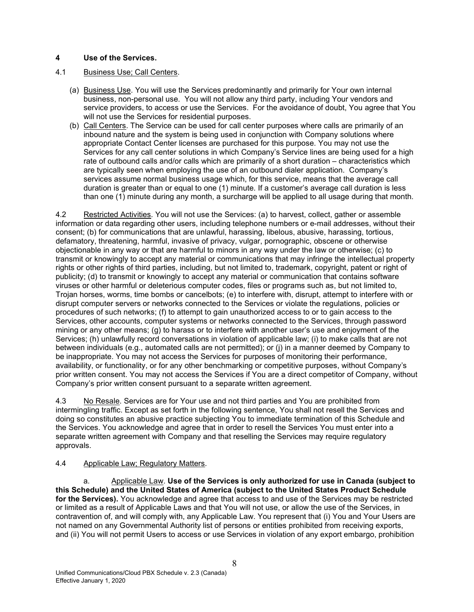## 4 Use of the Services.

### 4.1 Business Use; Call Centers.

- (a) Business Use. You will use the Services predominantly and primarily for Your own internal business, non-personal use. You will not allow any third party, including Your vendors and service providers, to access or use the Services. For the avoidance of doubt, You agree that You will not use the Services for residential purposes.
- (b) Call Centers. The Service can be used for call center purposes where calls are primarily of an inbound nature and the system is being used in conjunction with Company solutions where appropriate Contact Center licenses are purchased for this purpose. You may not use the Services for any call center solutions in which Company's Service lines are being used for a high rate of outbound calls and/or calls which are primarily of a short duration – characteristics which are typically seen when employing the use of an outbound dialer application. Company's services assume normal business usage which, for this service, means that the average call duration is greater than or equal to one (1) minute. If a customer's average call duration is less than one (1) minute during any month, a surcharge will be applied to all usage during that month.

4.2 Restricted Activities. You will not use the Services: (a) to harvest, collect, gather or assemble information or data regarding other users, including telephone numbers or e-mail addresses, without their consent; (b) for communications that are unlawful, harassing, libelous, abusive, harassing, tortious, defamatory, threatening, harmful, invasive of privacy, vulgar, pornographic, obscene or otherwise objectionable in any way or that are harmful to minors in any way under the law or otherwise; (c) to transmit or knowingly to accept any material or communications that may infringe the intellectual property rights or other rights of third parties, including, but not limited to, trademark, copyright, patent or right of publicity; (d) to transmit or knowingly to accept any material or communication that contains software viruses or other harmful or deleterious computer codes, files or programs such as, but not limited to, Trojan horses, worms, time bombs or cancelbots; (e) to interfere with, disrupt, attempt to interfere with or disrupt computer servers or networks connected to the Services or violate the regulations, policies or procedures of such networks; (f) to attempt to gain unauthorized access to or to gain access to the Services, other accounts, computer systems or networks connected to the Services, through password mining or any other means; (g) to harass or to interfere with another user's use and enjoyment of the Services; (h) unlawfully record conversations in violation of applicable law; (i) to make calls that are not between individuals (e.g., automated calls are not permitted); or (j) in a manner deemed by Company to be inappropriate. You may not access the Services for purposes of monitoring their performance, availability, or functionality, or for any other benchmarking or competitive purposes, without Company's prior written consent. You may not access the Services if You are a direct competitor of Company, without Company's prior written consent pursuant to a separate written agreement.

4.3 No Resale. Services are for Your use and not third parties and You are prohibited from intermingling traffic. Except as set forth in the following sentence, You shall not resell the Services and doing so constitutes an abusive practice subjecting You to immediate termination of this Schedule and the Services. You acknowledge and agree that in order to resell the Services You must enter into a separate written agreement with Company and that reselling the Services may require regulatory approvals.

#### 4.4 Applicable Law; Regulatory Matters.

a. Applicable Law. Use of the Services is only authorized for use in Canada (subject to this Schedule) and the United States of America (subject to the United States Product Schedule for the Services). You acknowledge and agree that access to and use of the Services may be restricted or limited as a result of Applicable Laws and that You will not use, or allow the use of the Services, in contravention of, and will comply with, any Applicable Law. You represent that (i) You and Your Users are not named on any Governmental Authority list of persons or entities prohibited from receiving exports, and (ii) You will not permit Users to access or use Services in violation of any export embargo, prohibition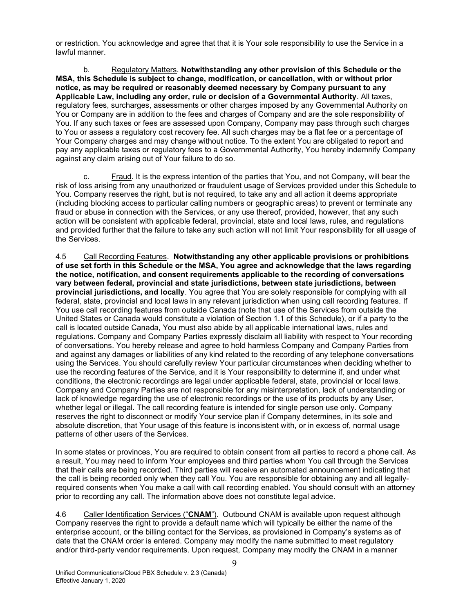or restriction. You acknowledge and agree that that it is Your sole responsibility to use the Service in a lawful manner.

b. Regulatory Matters. Notwithstanding any other provision of this Schedule or the MSA, this Schedule is subject to change, modification, or cancellation, with or without prior notice, as may be required or reasonably deemed necessary by Company pursuant to any Applicable Law, including any order, rule or decision of a Governmental Authority. All taxes, regulatory fees, surcharges, assessments or other charges imposed by any Governmental Authority on You or Company are in addition to the fees and charges of Company and are the sole responsibility of You. If any such taxes or fees are assessed upon Company, Company may pass through such charges to You or assess a regulatory cost recovery fee. All such charges may be a flat fee or a percentage of Your Company charges and may change without notice. To the extent You are obligated to report and pay any applicable taxes or regulatory fees to a Governmental Authority, You hereby indemnify Company against any claim arising out of Your failure to do so.

c. Fraud. It is the express intention of the parties that You, and not Company, will bear the risk of loss arising from any unauthorized or fraudulent usage of Services provided under this Schedule to You. Company reserves the right, but is not required, to take any and all action it deems appropriate (including blocking access to particular calling numbers or geographic areas) to prevent or terminate any fraud or abuse in connection with the Services, or any use thereof, provided, however, that any such action will be consistent with applicable federal, provincial, state and local laws, rules, and regulations and provided further that the failure to take any such action will not limit Your responsibility for all usage of the Services.

4.5 Call Recording Features. Notwithstanding any other applicable provisions or prohibitions of use set forth in this Schedule or the MSA, You agree and acknowledge that the laws regarding the notice, notification, and consent requirements applicable to the recording of conversations vary between federal, provincial and state jurisdictions, between state jurisdictions, between provincial jurisdictions, and locally. You agree that You are solely responsible for complying with all federal, state, provincial and local laws in any relevant jurisdiction when using call recording features. If You use call recording features from outside Canada (note that use of the Services from outside the United States or Canada would constitute a violation of Section 1.1 of this Schedule), or if a party to the call is located outside Canada, You must also abide by all applicable international laws, rules and regulations. Company and Company Parties expressly disclaim all liability with respect to Your recording of conversations. You hereby release and agree to hold harmless Company and Company Parties from and against any damages or liabilities of any kind related to the recording of any telephone conversations using the Services. You should carefully review Your particular circumstances when deciding whether to use the recording features of the Service, and it is Your responsibility to determine if, and under what conditions, the electronic recordings are legal under applicable federal, state, provincial or local laws. Company and Company Parties are not responsible for any misinterpretation, lack of understanding or lack of knowledge regarding the use of electronic recordings or the use of its products by any User, whether legal or illegal. The call recording feature is intended for single person use only. Company reserves the right to disconnect or modify Your service plan if Company determines, in its sole and absolute discretion, that Your usage of this feature is inconsistent with, or in excess of, normal usage patterns of other users of the Services.

In some states or provinces, You are required to obtain consent from all parties to record a phone call. As a result, You may need to inform Your employees and third parties whom You call through the Services that their calls are being recorded. Third parties will receive an automated announcement indicating that the call is being recorded only when they call You. You are responsible for obtaining any and all legallyrequired consents when You make a call with call recording enabled. You should consult with an attorney prior to recording any call. The information above does not constitute legal advice.

4.6 Caller Identification Services ("CNAM"). Outbound CNAM is available upon request although Company reserves the right to provide a default name which will typically be either the name of the enterprise account, or the billing contact for the Services, as provisioned in Company's systems as of date that the CNAM order is entered. Company may modify the name submitted to meet regulatory and/or third-party vendor requirements. Upon request, Company may modify the CNAM in a manner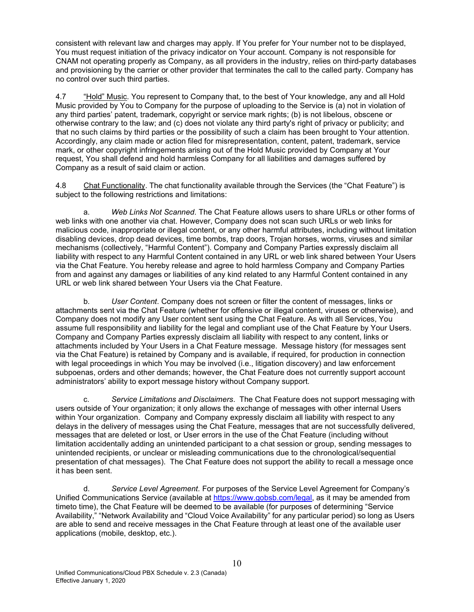consistent with relevant law and charges may apply. If You prefer for Your number not to be displayed, You must request initiation of the privacy indicator on Your account. Company is not responsible for CNAM not operating properly as Company, as all providers in the industry, relies on third-party databases and provisioning by the carrier or other provider that terminates the call to the called party. Company has no control over such third parties.

4.7 "Hold" Music. You represent to Company that, to the best of Your knowledge, any and all Hold Music provided by You to Company for the purpose of uploading to the Service is (a) not in violation of any third parties' patent, trademark, copyright or service mark rights; (b) is not libelous, obscene or otherwise contrary to the law; and (c) does not violate any third party's right of privacy or publicity; and that no such claims by third parties or the possibility of such a claim has been brought to Your attention. Accordingly, any claim made or action filed for misrepresentation, content, patent, trademark, service mark, or other copyright infringements arising out of the Hold Music provided by Company at Your request, You shall defend and hold harmless Company for all liabilities and damages suffered by Company as a result of said claim or action.

4.8 Chat Functionality. The chat functionality available through the Services (the "Chat Feature") is subject to the following restrictions and limitations:

a. Web Links Not Scanned. The Chat Feature allows users to share URLs or other forms of web links with one another via chat. However, Company does not scan such URLs or web links for malicious code, inappropriate or illegal content, or any other harmful attributes, including without limitation disabling devices, drop dead devices, time bombs, trap doors, Trojan horses, worms, viruses and similar mechanisms (collectively, "Harmful Content"). Company and Company Parties expressly disclaim all liability with respect to any Harmful Content contained in any URL or web link shared between Your Users via the Chat Feature. You hereby release and agree to hold harmless Company and Company Parties from and against any damages or liabilities of any kind related to any Harmful Content contained in any URL or web link shared between Your Users via the Chat Feature.

b. User Content. Company does not screen or filter the content of messages, links or attachments sent via the Chat Feature (whether for offensive or illegal content, viruses or otherwise), and Company does not modify any User content sent using the Chat Feature. As with all Services, You assume full responsibility and liability for the legal and compliant use of the Chat Feature by Your Users. Company and Company Parties expressly disclaim all liability with respect to any content, links or attachments included by Your Users in a Chat Feature message. Message history (for messages sent via the Chat Feature) is retained by Company and is available, if required, for production in connection with legal proceedings in which You may be involved (i.e., litigation discovery) and law enforcement subpoenas, orders and other demands; however, the Chat Feature does not currently support account administrators' ability to export message history without Company support.

c. Service Limitations and Disclaimers. The Chat Feature does not support messaging with users outside of Your organization; it only allows the exchange of messages with other internal Users within Your organization. Company and Company expressly disclaim all liability with respect to any delays in the delivery of messages using the Chat Feature, messages that are not successfully delivered, messages that are deleted or lost, or User errors in the use of the Chat Feature (including without limitation accidentally adding an unintended participant to a chat session or group, sending messages to unintended recipients, or unclear or misleading communications due to the chronological/sequential presentation of chat messages). The Chat Feature does not support the ability to recall a message once it has been sent.

d. Service Level Agreement. For purposes of the Service Level Agreement for Company's Unified Communications Service (available at https://www.gobsb.com/legal, as it may be amended from timeto time), the Chat Feature will be deemed to be available (for purposes of determining "Service Availability," "Network Availability and "Cloud Voice Availability" for any particular period) so long as Users are able to send and receive messages in the Chat Feature through at least one of the available user applications (mobile, desktop, etc.).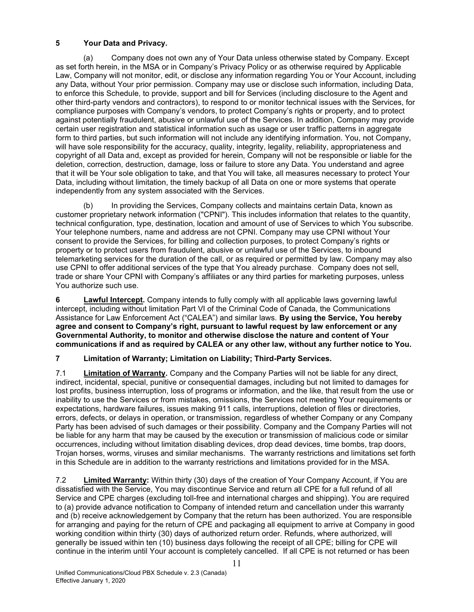# 5 Your Data and Privacy.

(a) Company does not own any of Your Data unless otherwise stated by Company. Except as set forth herein, in the MSA or in Company's Privacy Policy or as otherwise required by Applicable Law, Company will not monitor, edit, or disclose any information regarding You or Your Account, including any Data, without Your prior permission. Company may use or disclose such information, including Data, to enforce this Schedule, to provide, support and bill for Services (including disclosure to the Agent and other third-party vendors and contractors), to respond to or monitor technical issues with the Services, for compliance purposes with Company's vendors, to protect Company's rights or property, and to protect against potentially fraudulent, abusive or unlawful use of the Services. In addition, Company may provide certain user registration and statistical information such as usage or user traffic patterns in aggregate form to third parties, but such information will not include any identifying information. You, not Company, will have sole responsibility for the accuracy, quality, integrity, legality, reliability, appropriateness and copyright of all Data and, except as provided for herein, Company will not be responsible or liable for the deletion, correction, destruction, damage, loss or failure to store any Data. You understand and agree that it will be Your sole obligation to take, and that You will take, all measures necessary to protect Your Data, including without limitation, the timely backup of all Data on one or more systems that operate independently from any system associated with the Services.

(b) In providing the Services, Company collects and maintains certain Data, known as customer proprietary network information ("CPNI"). This includes information that relates to the quantity, technical configuration, type, destination, location and amount of use of Services to which You subscribe. Your telephone numbers, name and address are not CPNI. Company may use CPNI without Your consent to provide the Services, for billing and collection purposes, to protect Company's rights or property or to protect users from fraudulent, abusive or unlawful use of the Services, to inbound telemarketing services for the duration of the call, or as required or permitted by law. Company may also use CPNI to offer additional services of the type that You already purchase. Company does not sell, trade or share Your CPNI with Company's affiliates or any third parties for marketing purposes, unless You authorize such use.

6 Lawful Intercept. Company intends to fully comply with all applicable laws governing lawful intercept, including without limitation Part VI of the Criminal Code of Canada, the Communications Assistance for Law Enforcement Act ("CALEA") and similar laws. By using the Service, You hereby agree and consent to Company's right, pursuant to lawful request by law enforcement or any Governmental Authority, to monitor and otherwise disclose the nature and content of Your communications if and as required by CALEA or any other law, without any further notice to You.

# 7 Limitation of Warranty; Limitation on Liability; Third-Party Services.

7.1 **Limitation of Warranty.** Company and the Company Parties will not be liable for any direct, indirect, incidental, special, punitive or consequential damages, including but not limited to damages for lost profits, business interruption, loss of programs or information, and the like, that result from the use or inability to use the Services or from mistakes, omissions, the Services not meeting Your requirements or expectations, hardware failures, issues making 911 calls, interruptions, deletion of files or directories, errors, defects, or delays in operation, or transmission, regardless of whether Company or any Company Party has been advised of such damages or their possibility. Company and the Company Parties will not be liable for any harm that may be caused by the execution or transmission of malicious code or similar occurrences, including without limitation disabling devices, drop dead devices, time bombs, trap doors, Trojan horses, worms, viruses and similar mechanisms. The warranty restrictions and limitations set forth in this Schedule are in addition to the warranty restrictions and limitations provided for in the MSA.

7.2 **Limited Warranty:** Within thirty (30) days of the creation of Your Company Account, if You are dissatisfied with the Service, You may discontinue Service and return all CPE for a full refund of all Service and CPE charges (excluding toll-free and international charges and shipping). You are required to (a) provide advance notification to Company of intended return and cancellation under this warranty and (b) receive acknowledgement by Company that the return has been authorized. You are responsible for arranging and paying for the return of CPE and packaging all equipment to arrive at Company in good working condition within thirty (30) days of authorized return order. Refunds, where authorized, will generally be issued within ten (10) business days following the receipt of all CPE; billing for CPE will continue in the interim until Your account is completely cancelled. If all CPE is not returned or has been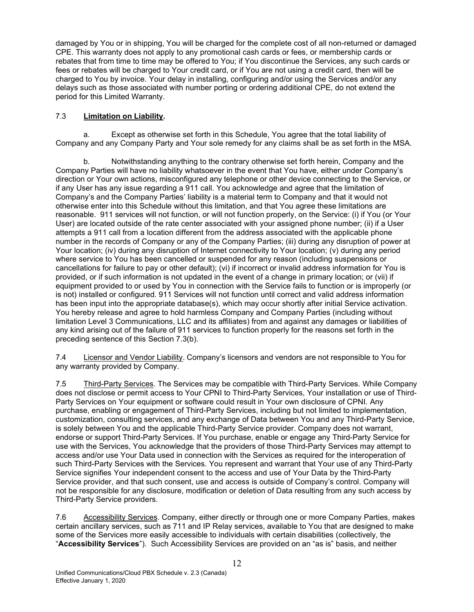damaged by You or in shipping, You will be charged for the complete cost of all non-returned or damaged CPE. This warranty does not apply to any promotional cash cards or fees, or membership cards or rebates that from time to time may be offered to You; if You discontinue the Services, any such cards or fees or rebates will be charged to Your credit card, or if You are not using a credit card, then will be charged to You by invoice. Your delay in installing, configuring and/or using the Services and/or any delays such as those associated with number porting or ordering additional CPE, do not extend the period for this Limited Warranty.

## 7.3 Limitation on Liability.

a. Except as otherwise set forth in this Schedule, You agree that the total liability of Company and any Company Party and Your sole remedy for any claims shall be as set forth in the MSA.

Notwithstanding anything to the contrary otherwise set forth herein, Company and the Company Parties will have no liability whatsoever in the event that You have, either under Company's direction or Your own actions, misconfigured any telephone or other device connecting to the Service, or if any User has any issue regarding a 911 call. You acknowledge and agree that the limitation of Company's and the Company Parties' liability is a material term to Company and that it would not otherwise enter into this Schedule without this limitation, and that You agree these limitations are reasonable. 911 services will not function, or will not function properly, on the Service: (i) if You (or Your User) are located outside of the rate center associated with your assigned phone number; (ii) if a User attempts a 911 call from a location different from the address associated with the applicable phone number in the records of Company or any of the Company Parties; (iii) during any disruption of power at Your location; (iv) during any disruption of Internet connectivity to Your location; (v) during any period where service to You has been cancelled or suspended for any reason (including suspensions or cancellations for failure to pay or other default); (vi) if incorrect or invalid address information for You is provided, or if such information is not updated in the event of a change in primary location; or (vii) if equipment provided to or used by You in connection with the Service fails to function or is improperly (or is not) installed or configured. 911 Services will not function until correct and valid address information has been input into the appropriate database(s), which may occur shortly after initial Service activation. You hereby release and agree to hold harmless Company and Company Parties (including without limitation Level 3 Communications, LLC and its affiliates) from and against any damages or liabilities of any kind arising out of the failure of 911 services to function properly for the reasons set forth in the preceding sentence of this Section 7.3(b).

7.4 Licensor and Vendor Liability. Company's licensors and vendors are not responsible to You for any warranty provided by Company.

7.5 Third-Party Services. The Services may be compatible with Third-Party Services. While Company does not disclose or permit access to Your CPNI to Third-Party Services, Your installation or use of Third-Party Services on Your equipment or software could result in Your own disclosure of CPNI. Any purchase, enabling or engagement of Third-Party Services, including but not limited to implementation, customization, consulting services, and any exchange of Data between You and any Third-Party Service, is solely between You and the applicable Third-Party Service provider. Company does not warrant, endorse or support Third-Party Services. If You purchase, enable or engage any Third-Party Service for use with the Services, You acknowledge that the providers of those Third-Party Services may attempt to access and/or use Your Data used in connection with the Services as required for the interoperation of such Third-Party Services with the Services. You represent and warrant that Your use of any Third-Party Service signifies Your independent consent to the access and use of Your Data by the Third-Party Service provider, and that such consent, use and access is outside of Company's control. Company will not be responsible for any disclosure, modification or deletion of Data resulting from any such access by Third-Party Service providers.

7.6 Accessibility Services. Company, either directly or through one or more Company Parties, makes certain ancillary services, such as 711 and IP Relay services, available to You that are designed to make some of the Services more easily accessible to individuals with certain disabilities (collectively, the "Accessibility Services"). Such Accessibility Services are provided on an "as is" basis, and neither